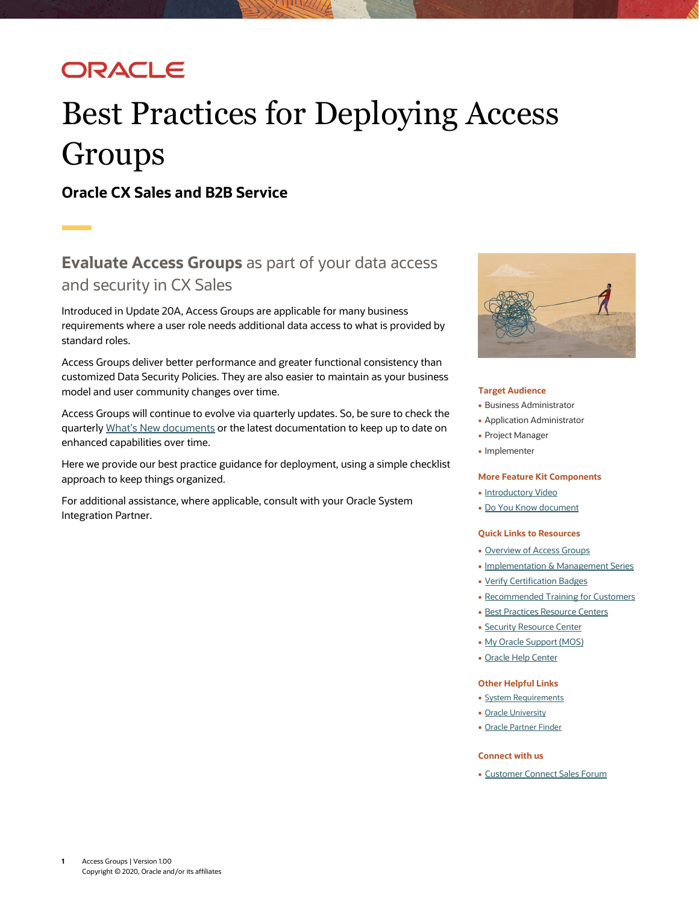## ORACLE

# Best Practices for Deploying Access **Groups**

**Oracle CX Sales and B2B Service**

### **Evaluate Access Groups** as part of your data access and security in CX Sales

Introduced in Update 20A, Access Groups are applicable for many business requirements where a user role needs additional data access to what is provided by standard roles.

Access Groups deliver better performance and greater functional consistency than customized Data Security Policies. They are also easier to maintain as your business model and user community changes over time.

Access Groups will continue to evolve via quarterly updates. So, be sure to check the quarterly [What's New documents](https://www.oracle.com/webfolder/technetwork/tutorials/tutorial/readiness/offering.html?offering=engagement-20) or the latest documentation to keep up to date on enhanced capabilities over time.

Here we provide our best practice guidance for deployment, using a simple checklist approach to keep things organized.

For additional assistance, where applicable, consult with your Oracle System Integration Partner.



### **Target Audience**

- Business Administrator
- Application Administrator
- Project Manager
- Implementer

#### **More Feature Kit Components**

- [Introductory Video](https://videohub.oracle.com/media/Access+Groups+for+CX+Sales+and+B2B+Service/0_ckftf1db)
- [Do You Know](https://www.oracle.com/webfolder/cx-implementation/access-groups-dyk.pdf) document

### **Quick Links to Resources**

- [Overview of Access Groups](http://www.oracle.com/pls/topic/lookup?ctx=cloud&id=OSCUS3751206)
- [Implementation & Management Series](https://www.oracle.com/a/ocom/docs/implementation-and-management-series.pdf)
- [Verify Certification Badges](https://www.youracclaim.com/org/oracle/verify)
- [Recommended Training for Customers](https://www.oracle.com/a/ocom/docs/recommended-training-and-certification-for-customers.pdf)
- [Best Practices Resource Centers](https://support.oracle.com/epmos/faces/DocumentDisplay?id1482696.1)
- Security [Resource Center](https://support.oracle.com/epmos/faces/DocumentDisplay?id=1609084.1)
- [My Oracle Support \(MOS\)](https://support.oracle.com/epmos/faces/MosIndex.jspx?_afrLoop=578622290143934&_afrWindowMode=0&_adf.ctrl-state=2qo3ce9t9_53)
- [Oracle Help Center](http://www.oracle.com/pls/topic/lookup?ctx=cloud&id=engagement)

#### **Other Helpful Links**

- [System Requirements](https://www.oracle.com/system-requirements/)
- [Oracle University](https://education.oracle.com/saas-cx/cx-sales/pFamily_657)
- [Oracle Partner Finder](https://partner-finder.oracle.com/)

#### **Connect with us**

• [Customer Connect Sales Forum](https://cloudcustomerconnect.oracle.com/posts/fab88553be)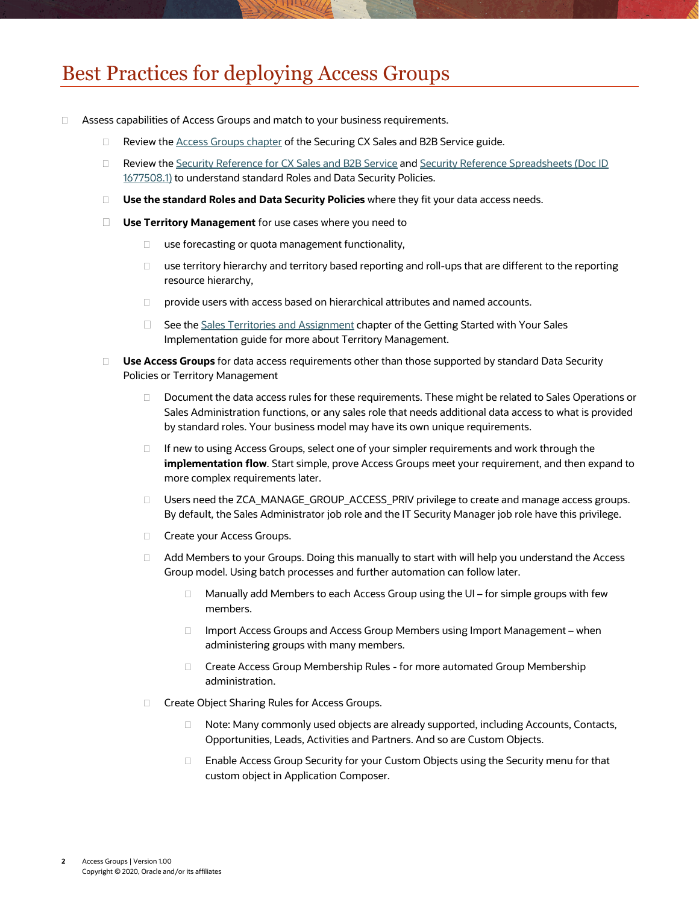### Best Practices for deploying Access Groups

- □ Assess capabilities of Access Groups and match to your business requirements.
	- $\Box$  Review th[e Access Groups chapter](http://www.oracle.com/pls/topic/lookup?ctx=cloud&id=OSCUS3751206) of the Securing CX Sales and B2B Service guide.
	- □ Review th[e Security Reference for CX Sales and B2B Service](https://docs.oracle.com/en/cloud/saas/sales/20b/oaslm/index.html) and Security Reference Spreadsheets (Doc ID [1677508.1\)](https://support.oracle.com/epmos/faces/DocumentDisplay?id=1677508.1) to understand standard Roles and Data Security Policies.
	- **Use the standard Roles and Data Security Policies** where they fit your data access needs.
	- **Use Territory Management** for use cases where you need to
		- $\Box$  use forecasting or quota management functionality,
		- $\Box$  use territory hierarchy and territory based reporting and roll-ups that are different to the reporting resource hierarchy,
		- provide users with access based on hierarchical attributes and named accounts.
		- $\Box$  See th[e Sales Territories and Assignment](http://www.oracle.com/pls/topic/lookup?ctx=cloud&id=FASMC2758312) chapter of the Getting Started with Your Sales Implementation guide for more about Territory Management.
	- **Use Access Groups** for data access requirements other than those supported by standard Data Security Policies or Territory Management
		- Document the data access rules for these requirements. These might be related to Sales Operations or Sales Administration functions, or any sales role that needs additional data access to what is provided by standard roles. Your business model may have its own unique requirements.
		- $\Box$  If new to using Access Groups, select one of your simpler requirements and work through the **implementation flow**. Start simple, prove Access Groups meet your requirement, and then expand to more complex requirements later.
		- Users need the ZCA\_MANAGE\_GROUP\_ACCESS\_PRIV privilege to create and manage access groups. By default, the Sales Administrator job role and the IT Security Manager job role have this privilege.
		- □ Create your Access Groups.
		- □ Add Members to your Groups. Doing this manually to start with will help you understand the Access Group model. Using batch processes and further automation can follow later.
			- $\Box$  Manually add Members to each Access Group using the UI for simple groups with few members.
			- □ Import Access Groups and Access Group Members using Import Management when administering groups with many members.
			- □ Create Access Group Membership Rules for more automated Group Membership administration.
		- □ Create Object Sharing Rules for Access Groups.
			- □ Note: Many commonly used objects are already supported, including Accounts, Contacts, Opportunities, Leads, Activities and Partners. And so are Custom Objects.
			- □ Enable Access Group Security for your Custom Objects using the Security menu for that custom object in Application Composer.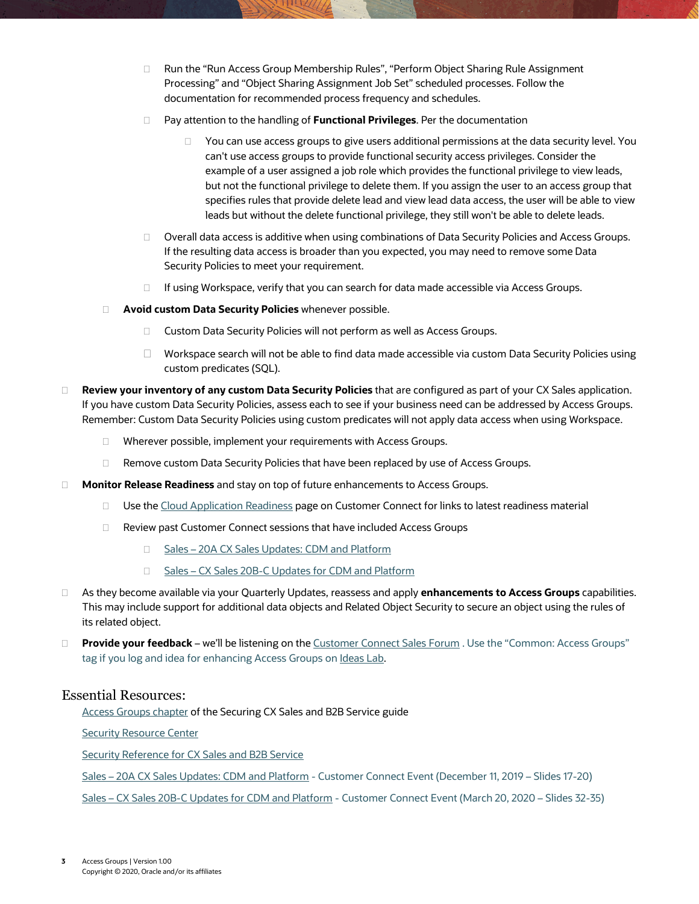- □ Run the "Run Access Group Membership Rules", "Perform Object Sharing Rule Assignment Processing" and "Object Sharing Assignment Job Set" scheduled processes. Follow the documentation for recommended process frequency and schedules.
- Pay attention to the handling of **Functional Privileges**. Per the documentation
	- $\Box$  You can use access groups to give users additional permissions at the data security level. You can't use access groups to provide functional security access privileges. Consider the example of a user assigned a job role which provides the functional privilege to view leads, but not the functional privilege to delete them. If you assign the user to an access group that specifies rules that provide delete lead and view lead data access, the user will be able to view leads but without the delete functional privilege, they still won't be able to delete leads.
- Overall data access is additive when using combinations of Data Security Policies and Access Groups. If the resulting data access is broader than you expected, you may need to remove some Data Security Policies to meet your requirement.
- □ If using Workspace, verify that you can search for data made accessible via Access Groups.
- **Avoid custom Data Security Policies** whenever possible.
	- □ Custom Data Security Policies will not perform as well as Access Groups.
	- $\Box$  Workspace search will not be able to find data made accessible via custom Data Security Policies using custom predicates (SQL).
- **Review your inventory of any custom Data Security Policies** that are configured as part of your CX Sales application. If you have custom Data Security Policies, assess each to see if your business need can be addressed by Access Groups. Remember: Custom Data Security Policies using custom predicates will not apply data access when using Workspace.
	- □ Wherever possible, implement your requirements with Access Groups.
	- □ Remove custom Data Security Policies that have been replaced by use of Access Groups.
- **Monitor Release Readiness** and stay on top of future enhancements to Access Groups.
	- □ Use the [Cloud Application Readiness](https://cloudcustomerconnect.oracle.com/resources/1090b9d4db/summary) page on Customer Connect for links to latest readiness material
	- □ Review past Customer Connect sessions that have included Access Groups
		- □ Sales [20A CX Sales Updates: CDM and Platform](https://cloudcustomerconnect.oracle.com/posts/63d512a067)
		- □ Sales [CX Sales 20B-C Updates for CDM and Platform](https://cloudcustomerconnect.oracle.com/posts/1f62909910)
- As they become available via your Quarterly Updates, reassess and apply **enhancements to Access Groups** capabilities. This may include support for additional data objects and Related Object Security to secure an object using the rules of its related object.
- **Provide your feedback** we'll be listening on th[e Customer Connect Sales Forum](https://cloudcustomerconnect.oracle.com/posts/de95072efb) . Use the "Common: Access Groups" tag if you log and idea for enhancing Access Groups on Ideas Lab.

### Essential Resources:

**[Access Groups chapter](http://www.oracle.com/pls/topic/lookup?ctx=cloud&id=OSCUS3751206) of the Securing CX Sales and B2B Service guide** 

[Security Resource Center](https://support.oracle.com/epmos/faces/DocumentDisplay?id=1609084.1)

[Security Reference for CX Sales and B2B Service](https://docs.oracle.com/pls/topic/lookup?ctx=fa-latest&id=OASLM)

Sales – [20A CX Sales Updates: CDM and Platform](https://cloudcustomerconnect.oracle.com/posts/63d512a067) - Customer Connect Event (December 11, 2019 – Slides 17-20)

Sales – [CX Sales 20B-C Updates for CDM and Platform](https://cloudcustomerconnect.oracle.com/posts/1f62909910) - Customer Connect Event (March 20, 2020 – Slides 32-35)